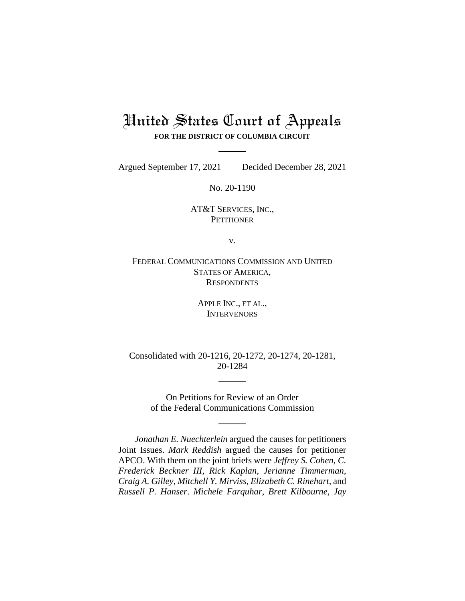# United States Court of Appeals **FOR THE DISTRICT OF COLUMBIA CIRCUIT**

Argued September 17, 2021 Decided December 28, 2021

No. 20-1190

AT&T SERVICES, INC., **PETITIONER** 

v.

FEDERAL COMMUNICATIONS COMMISSION AND UNITED STATES OF AMERICA, **RESPONDENTS** 

> APPLE INC., ET AL., **INTERVENORS**

Consolidated with 20-1216, 20-1272, 20-1274, 20-1281, 20-1284

> On Petitions for Review of an Order of the Federal Communications Commission

*Jonathan E. Nuechterlein* argued the causes for petitioners Joint Issues. *Mark Reddish* argued the causes for petitioner APCO. With them on the joint briefs were *Jeffrey S. Cohen*, *C. Frederick Beckner III*, *Rick Kaplan*, *Jerianne Timmerman*, *Craig A. Gilley*, *Mitchell Y. Mirviss*, *Elizabeth C. Rinehart*, and *Russell P. Hanser*. *Michele Farquhar*, *Brett Kilbourne*, *Jay*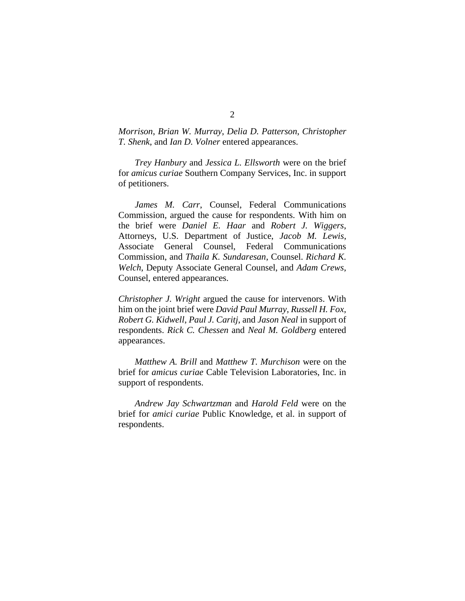*Morrison*, *Brian W. Murray*, *Delia D. Patterson*, *Christopher T. Shenk*, and *Ian D. Volner* entered appearances.

*Trey Hanbury* and *Jessica L. Ellsworth* were on the brief for *amicus curiae* Southern Company Services, Inc. in support of petitioners.

*James M. Carr*, Counsel, Federal Communications Commission, argued the cause for respondents. With him on the brief were *Daniel E. Haar* and *Robert J. Wiggers*, Attorneys, U.S. Department of Justice, *Jacob M. Lewis*, Associate General Counsel, Federal Communications Commission, and *Thaila K. Sundaresan*, Counsel. *Richard K. Welch*, Deputy Associate General Counsel, and *Adam Crews*, Counsel, entered appearances.

*Christopher J. Wright* argued the cause for intervenors. With him on the joint brief were *David Paul Murray*, *Russell H. Fox*, *Robert G. Kidwell*, *Paul J. Caritj*, and *Jason Neal* in support of respondents. *Rick C. Chessen* and *Neal M. Goldberg* entered appearances.

*Matthew A. Brill* and *Matthew T. Murchison* were on the brief for *amicus curiae* Cable Television Laboratories, Inc. in support of respondents.

*Andrew Jay Schwartzman* and *Harold Feld* were on the brief for *amici curiae* Public Knowledge, et al. in support of respondents.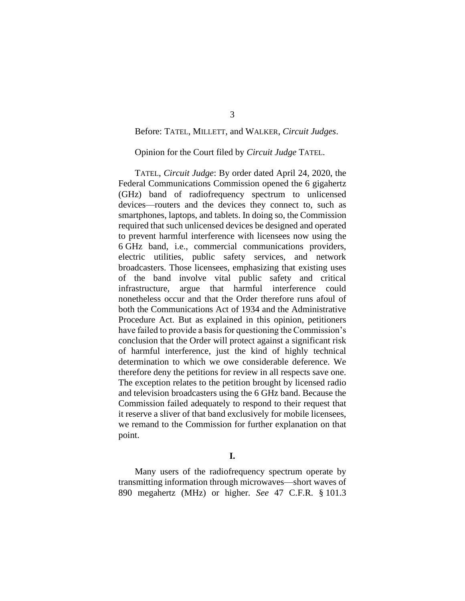## Before: TATEL, MILLETT, and WALKER, *Circuit Judges*.

### Opinion for the Court filed by *Circuit Judge* TATEL.

TATEL, *Circuit Judge*: By order dated April 24, 2020, the Federal Communications Commission opened the 6 gigahertz (GHz) band of radiofrequency spectrum to unlicensed devices—routers and the devices they connect to, such as smartphones, laptops, and tablets. In doing so, the Commission required that such unlicensed devices be designed and operated to prevent harmful interference with licensees now using the 6 GHz band, i.e., commercial communications providers, electric utilities, public safety services, and network broadcasters. Those licensees, emphasizing that existing uses of the band involve vital public safety and critical infrastructure, argue that harmful interference could nonetheless occur and that the Order therefore runs afoul of both the Communications Act of 1934 and the Administrative Procedure Act. But as explained in this opinion, petitioners have failed to provide a basis for questioning the Commission's conclusion that the Order will protect against a significant risk of harmful interference, just the kind of highly technical determination to which we owe considerable deference. We therefore deny the petitions for review in all respects save one. The exception relates to the petition brought by licensed radio and television broadcasters using the 6 GHz band. Because the Commission failed adequately to respond to their request that it reserve a sliver of that band exclusively for mobile licensees, we remand to the Commission for further explanation on that point.

## **I.**

Many users of the radiofrequency spectrum operate by transmitting information through microwaves—short waves of 890 megahertz (MHz) or higher. *See* 47 C.F.R. § 101.3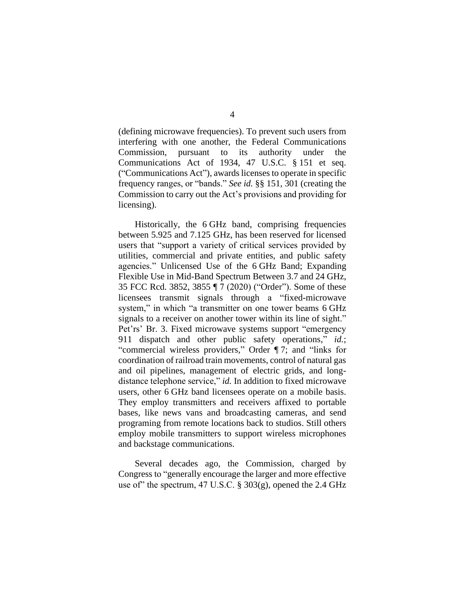(defining microwave frequencies). To prevent such users from interfering with one another, the Federal Communications Commission, pursuant to its authority under the Communications Act of 1934, 47 U.S.C. § 151 et seq. ("Communications Act"), awards licenses to operate in specific frequency ranges, or "bands." *See id.* §§ 151, 301 (creating the Commission to carry out the Act's provisions and providing for licensing).

Historically, the 6 GHz band, comprising frequencies between 5.925 and 7.125 GHz, has been reserved for licensed users that "support a variety of critical services provided by utilities, commercial and private entities, and public safety agencies." Unlicensed Use of the 6 GHz Band; Expanding Flexible Use in Mid-Band Spectrum Between 3.7 and 24 GHz, 35 FCC Rcd. 3852, 3855 ¶ 7 (2020) ("Order"). Some of these licensees transmit signals through a "fixed-microwave system," in which "a transmitter on one tower beams 6 GHz signals to a receiver on another tower within its line of sight." Pet'rs' Br. 3. Fixed microwave systems support "emergency 911 dispatch and other public safety operations," *id.*; "commercial wireless providers," Order ¶ 7; and "links for coordination of railroad train movements, control of natural gas and oil pipelines, management of electric grids, and longdistance telephone service," *id.* In addition to fixed microwave users, other 6 GHz band licensees operate on a mobile basis. They employ transmitters and receivers affixed to portable bases, like news vans and broadcasting cameras, and send programing from remote locations back to studios. Still others employ mobile transmitters to support wireless microphones and backstage communications.

Several decades ago, the Commission, charged by Congress to "generally encourage the larger and more effective use of" the spectrum, 47 U.S.C.  $\S 303(g)$ , opened the 2.4 GHz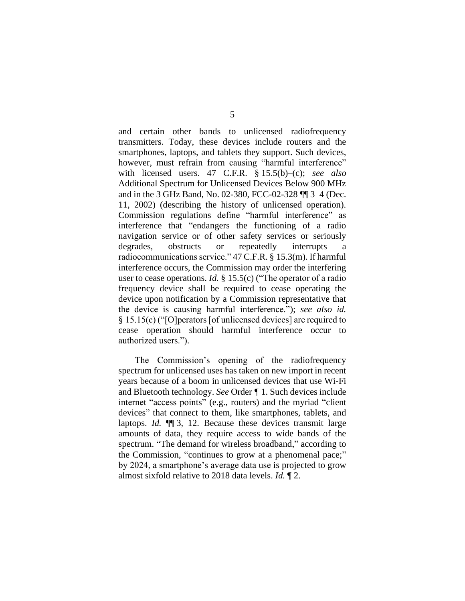and certain other bands to unlicensed radiofrequency transmitters. Today, these devices include routers and the smartphones, laptops, and tablets they support. Such devices, however, must refrain from causing "harmful interference" with licensed users. 47 C.F.R. § 15.5(b)–(c); *see also*  Additional Spectrum for Unlicensed Devices Below 900 MHz and in the 3 GHz Band, No. 02-380, FCC-02-328 ¶¶ 3–4 (Dec. 11, 2002) (describing the history of unlicensed operation). Commission regulations define "harmful interference" as interference that "endangers the functioning of a radio navigation service or of other safety services or seriously degrades, obstructs or repeatedly interrupts radiocommunications service." 47 C.F.R. § 15.3(m). If harmful interference occurs, the Commission may order the interfering user to cease operations. *Id.* § 15.5(c) ("The operator of a radio frequency device shall be required to cease operating the device upon notification by a Commission representative that the device is causing harmful interference."); *see also id.*  § 15.15(c) ("[O]perators [of unlicensed devices] are required to cease operation should harmful interference occur to authorized users.").

The Commission's opening of the radiofrequency spectrum for unlicensed uses has taken on new import in recent years because of a boom in unlicensed devices that use Wi-Fi and Bluetooth technology. *See* Order *¶* 1. Such devices include internet "access points" (e.g., routers) and the myriad "client devices" that connect to them, like smartphones, tablets, and laptops. *Id.* ¶¶ 3, 12. Because these devices transmit large amounts of data, they require access to wide bands of the spectrum. "The demand for wireless broadband," according to the Commission, "continues to grow at a phenomenal pace;" by 2024, a smartphone's average data use is projected to grow almost sixfold relative to 2018 data levels. *Id.* ¶ 2.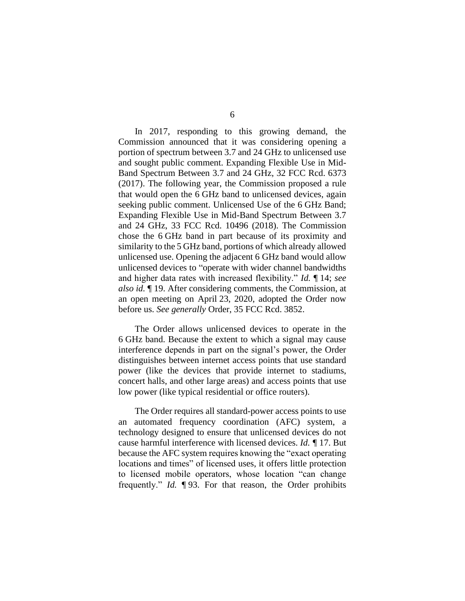In 2017, responding to this growing demand, the Commission announced that it was considering opening a portion of spectrum between 3.7 and 24 GHz to unlicensed use and sought public comment. Expanding Flexible Use in Mid-Band Spectrum Between 3.7 and 24 GHz, 32 FCC Rcd. 6373 (2017). The following year, the Commission proposed a rule that would open the 6 GHz band to unlicensed devices, again seeking public comment. Unlicensed Use of the 6 GHz Band; Expanding Flexible Use in Mid-Band Spectrum Between 3.7 and 24 GHz, 33 FCC Rcd. 10496 (2018). The Commission chose the 6 GHz band in part because of its proximity and similarity to the 5 GHz band, portions of which already allowed unlicensed use. Opening the adjacent 6 GHz band would allow unlicensed devices to "operate with wider channel bandwidths and higher data rates with increased flexibility." *Id.* ¶ 14; *see also id.* ¶ 19. After considering comments, the Commission, at an open meeting on April 23, 2020, adopted the Order now before us. *See generally* Order, 35 FCC Rcd. 3852.

The Order allows unlicensed devices to operate in the 6 GHz band. Because the extent to which a signal may cause interference depends in part on the signal's power, the Order distinguishes between internet access points that use standard power (like the devices that provide internet to stadiums, concert halls, and other large areas) and access points that use low power (like typical residential or office routers).

The Order requires all standard-power access points to use an automated frequency coordination (AFC) system, a technology designed to ensure that unlicensed devices do not cause harmful interference with licensed devices. *Id. ¶* 17. But because the AFC system requires knowing the "exact operating locations and times" of licensed uses, it offers little protection to licensed mobile operators, whose location "can change frequently." *Id.* ¶ 93. For that reason, the Order prohibits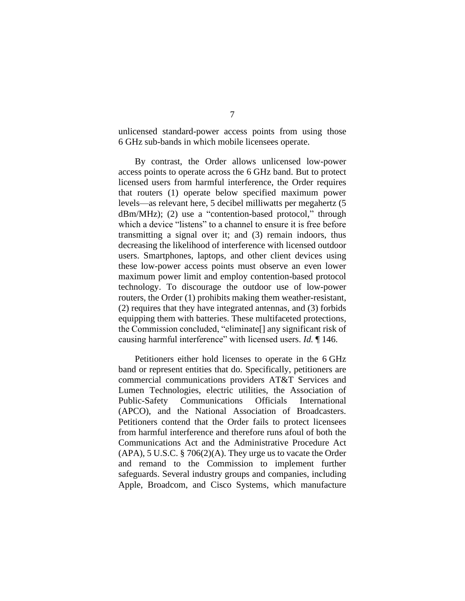unlicensed standard-power access points from using those 6 GHz sub-bands in which mobile licensees operate.

By contrast, the Order allows unlicensed low-power access points to operate across the 6 GHz band. But to protect licensed users from harmful interference, the Order requires that routers (1) operate below specified maximum power levels—as relevant here, 5 decibel milliwatts per megahertz (5 dBm/MHz); (2) use a "contention-based protocol," through which a device "listens" to a channel to ensure it is free before transmitting a signal over it; and (3) remain indoors, thus decreasing the likelihood of interference with licensed outdoor users. Smartphones, laptops, and other client devices using these low-power access points must observe an even lower maximum power limit and employ contention-based protocol technology. To discourage the outdoor use of low-power routers, the Order (1) prohibits making them weather-resistant, (2) requires that they have integrated antennas, and (3) forbids equipping them with batteries. These multifaceted protections, the Commission concluded, "eliminate[] any significant risk of causing harmful interference" with licensed users. *Id.* ¶ 146.

Petitioners either hold licenses to operate in the 6 GHz band or represent entities that do. Specifically, petitioners are commercial communications providers AT&T Services and Lumen Technologies, electric utilities, the Association of Public-Safety Communications Officials International (APCO), and the National Association of Broadcasters. Petitioners contend that the Order fails to protect licensees from harmful interference and therefore runs afoul of both the Communications Act and the Administrative Procedure Act (APA), 5 U.S.C. § 706(2)(A). They urge us to vacate the Order and remand to the Commission to implement further safeguards. Several industry groups and companies, including Apple, Broadcom, and Cisco Systems, which manufacture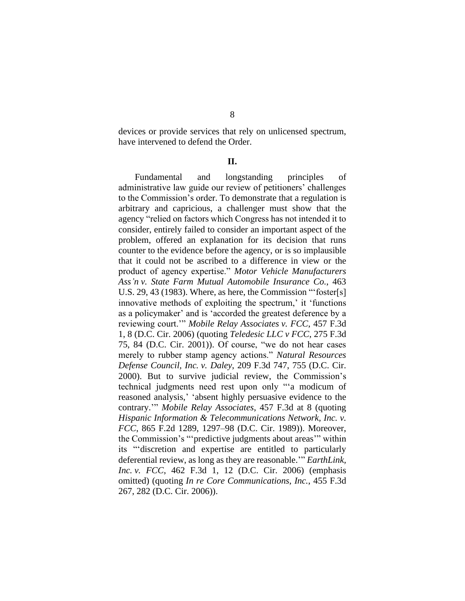devices or provide services that rely on unlicensed spectrum, have intervened to defend the Order.

#### **II.**

Fundamental and longstanding principles of administrative law guide our review of petitioners' challenges to the Commission's order. To demonstrate that a regulation is arbitrary and capricious, a challenger must show that the agency "relied on factors which Congress has not intended it to consider, entirely failed to consider an important aspect of the problem, offered an explanation for its decision that runs counter to the evidence before the agency, or is so implausible that it could not be ascribed to a difference in view or the product of agency expertise." *Motor Vehicle Manufacturers Ass'n v. State Farm Mutual Automobile Insurance Co.*, 463 U.S. 29, 43 (1983). Where, as here, the Commission "'foster[s] innovative methods of exploiting the spectrum,' it 'functions as a policymaker' and is 'accorded the greatest deference by a reviewing court.'" *Mobile Relay Associates v. FCC*, 457 F.3d 1, 8 (D.C. Cir. 2006) (quoting *Teledesic LLC v FCC*, 275 F.3d 75, 84 (D.C. Cir. 2001)). Of course, "we do not hear cases merely to rubber stamp agency actions." *Natural Resources Defense Council, Inc. v. Daley*, 209 F.3d 747, 755 (D.C. Cir. 2000). But to survive judicial review, the Commission's technical judgments need rest upon only "'a modicum of reasoned analysis,' 'absent highly persuasive evidence to the contrary.'" *Mobile Relay Associates*, 457 F.3d at 8 (quoting *Hispanic Information & Telecommunications Network, Inc. v. FCC*, 865 F.2d 1289, 1297–98 (D.C. Cir. 1989)). Moreover, the Commission's "'predictive judgments about areas'" within its "'discretion and expertise are entitled to particularly deferential review, as long as they are reasonable.'" *EarthLink, Inc. v. FCC*, 462 F.3d 1, 12 (D.C. Cir. 2006) (emphasis omitted) (quoting *In re Core Communications, Inc.*, 455 F.3d 267, 282 (D.C. Cir. 2006)).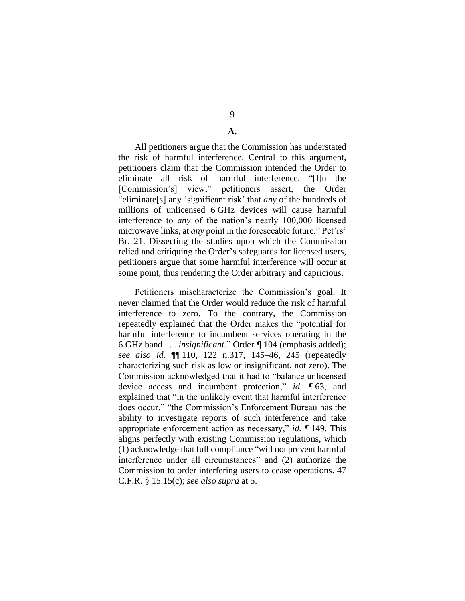# 9

### **A.**

All petitioners argue that the Commission has understated the risk of harmful interference. Central to this argument, petitioners claim that the Commission intended the Order to eliminate all risk of harmful interference. "[I]n the [Commission's] view," petitioners assert, the Order "eliminate[s] any 'significant risk' that *any* of the hundreds of millions of unlicensed 6 GHz devices will cause harmful interference to *any* of the nation's nearly 100,000 licensed microwave links, at *any* point in the foreseeable future." Pet'rs' Br. 21. Dissecting the studies upon which the Commission relied and critiquing the Order's safeguards for licensed users, petitioners argue that some harmful interference will occur at some point, thus rendering the Order arbitrary and capricious.

Petitioners mischaracterize the Commission's goal. It never claimed that the Order would reduce the risk of harmful interference to zero. To the contrary, the Commission repeatedly explained that the Order makes the "potential for harmful interference to incumbent services operating in the 6 GHz band . . . *insignificant*." Order *¶* 104 (emphasis added); *see also id.* ¶¶ 110, 122 n.317, 145–46, 245 (repeatedly characterizing such risk as low or insignificant, not zero). The Commission acknowledged that it had to "balance unlicensed device access and incumbent protection," *id.* ¶ 63, and explained that "in the unlikely event that harmful interference does occur," "the Commission's Enforcement Bureau has the ability to investigate reports of such interference and take appropriate enforcement action as necessary," *id.* ¶ 149. This aligns perfectly with existing Commission regulations, which (1) acknowledge that full compliance "will not prevent harmful interference under all circumstances" and (2) authorize the Commission to order interfering users to cease operations. 47 C.F.R. § 15.15(c); *see also supra* at 5.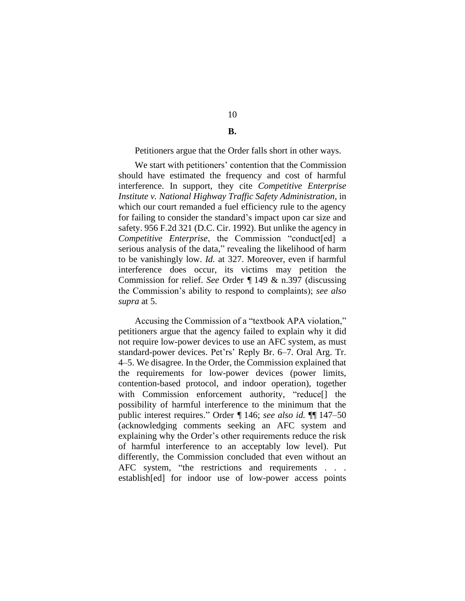# 10 **B.**

#### Petitioners argue that the Order falls short in other ways.

We start with petitioners' contention that the Commission should have estimated the frequency and cost of harmful interference. In support, they cite *Competitive Enterprise Institute v. National Highway Traffic Safety Administration*, in which our court remanded a fuel efficiency rule to the agency for failing to consider the standard's impact upon car size and safety. 956 F.2d 321 (D.C. Cir. 1992). But unlike the agency in *Competitive Enterprise*, the Commission "conduct[ed] a serious analysis of the data," revealing the likelihood of harm to be vanishingly low. *Id.* at 327. Moreover, even if harmful interference does occur, its victims may petition the Commission for relief. *See* Order *¶* 149 & n.397 (discussing the Commission's ability to respond to complaints); *see also supra* at 5.

Accusing the Commission of a "textbook APA violation," petitioners argue that the agency failed to explain why it did not require low-power devices to use an AFC system, as must standard-power devices. Pet'rs' Reply Br. 6–7. Oral Arg. Tr. 4–5. We disagree. In the Order, the Commission explained that the requirements for low-power devices (power limits, contention-based protocol, and indoor operation), together with Commission enforcement authority, "reduce[] the possibility of harmful interference to the minimum that the public interest requires." Order *¶* 146; *see also id.* ¶¶ 147–50 (acknowledging comments seeking an AFC system and explaining why the Order's other requirements reduce the risk of harmful interference to an acceptably low level). Put differently, the Commission concluded that even without an AFC system, "the restrictions and requirements . . . establish[ed] for indoor use of low-power access points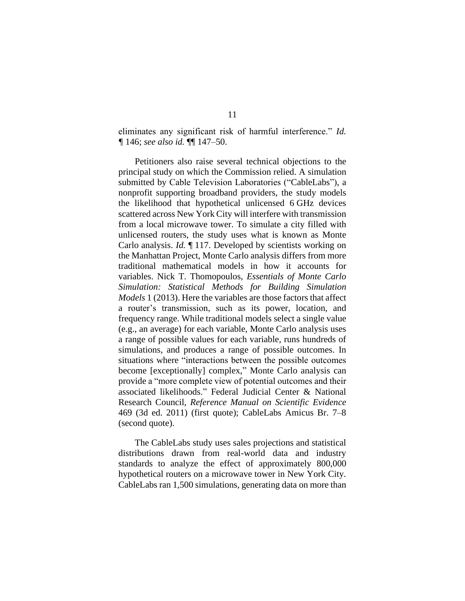eliminates any significant risk of harmful interference." *Id. ¶* 146; *see also id.* ¶¶ 147–50.

Petitioners also raise several technical objections to the principal study on which the Commission relied. A simulation submitted by Cable Television Laboratories ("CableLabs"), a nonprofit supporting broadband providers, the study models the likelihood that hypothetical unlicensed 6 GHz devices scattered across New York City will interfere with transmission from a local microwave tower. To simulate a city filled with unlicensed routers, the study uses what is known as Monte Carlo analysis. *Id.* ¶ 117. Developed by scientists working on the Manhattan Project, Monte Carlo analysis differs from more traditional mathematical models in how it accounts for variables. Nick T. Thomopoulos, *Essentials of Monte Carlo Simulation: Statistical Methods for Building Simulation Models* 1 (2013). Here the variables are those factors that affect a router's transmission, such as its power, location, and frequency range. While traditional models select a single value (e.g., an average) for each variable, Monte Carlo analysis uses a range of possible values for each variable, runs hundreds of simulations, and produces a range of possible outcomes. In situations where "interactions between the possible outcomes become [exceptionally] complex," Monte Carlo analysis can provide a "more complete view of potential outcomes and their associated likelihoods." Federal Judicial Center & National Research Council, *Reference Manual on Scientific Evidence* 469 (3d ed. 2011) (first quote); CableLabs Amicus Br. 7–8 (second quote).

The CableLabs study uses sales projections and statistical distributions drawn from real-world data and industry standards to analyze the effect of approximately 800,000 hypothetical routers on a microwave tower in New York City. CableLabs ran 1,500 simulations, generating data on more than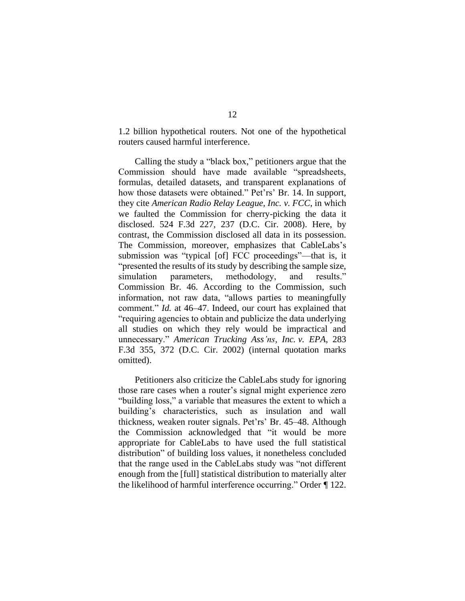1.2 billion hypothetical routers. Not one of the hypothetical routers caused harmful interference.

Calling the study a "black box," petitioners argue that the Commission should have made available "spreadsheets, formulas, detailed datasets, and transparent explanations of how those datasets were obtained." Pet'rs' Br. 14. In support, they cite *American Radio Relay League, Inc. v. FCC*, in which we faulted the Commission for cherry-picking the data it disclosed. 524 F.3d 227, 237 (D.C. Cir. 2008). Here, by contrast, the Commission disclosed all data in its possession. The Commission, moreover, emphasizes that CableLabs's submission was "typical [of] FCC proceedings"—that is, it "presented the results of its study by describing the sample size, simulation parameters, methodology, and results." Commission Br. 46. According to the Commission, such information, not raw data, "allows parties to meaningfully comment." *Id.* at 46–47. Indeed, our court has explained that "requiring agencies to obtain and publicize the data underlying all studies on which they rely would be impractical and unnecessary." *American Trucking Ass'ns, Inc. v. EPA*, 283 F.3d 355, 372 (D.C. Cir. 2002) (internal quotation marks omitted).

Petitioners also criticize the CableLabs study for ignoring those rare cases when a router's signal might experience zero "building loss," a variable that measures the extent to which a building's characteristics, such as insulation and wall thickness, weaken router signals. Pet'rs' Br. 45–48. Although the Commission acknowledged that "it would be more appropriate for CableLabs to have used the full statistical distribution" of building loss values, it nonetheless concluded that the range used in the CableLabs study was "not different enough from the [full] statistical distribution to materially alter the likelihood of harmful interference occurring." Order *¶* 122.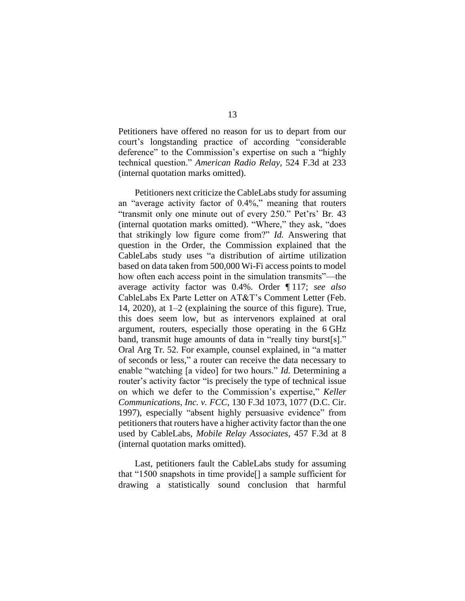Petitioners have offered no reason for us to depart from our court's longstanding practice of according "considerable deference" to the Commission's expertise on such a "highly technical question." *American Radio Relay*, 524 F.3d at 233 (internal quotation marks omitted).

Petitioners next criticize the CableLabs study for assuming an "average activity factor of 0.4%," meaning that routers "transmit only one minute out of every 250." Pet'rs' Br. 43 (internal quotation marks omitted). "Where," they ask, "does that strikingly low figure come from?" *Id.* Answering that question in the Order, the Commission explained that the CableLabs study uses "a distribution of airtime utilization based on data taken from 500,000 Wi-Fi access points to model how often each access point in the simulation transmits"—the average activity factor was 0.4%. Order ¶ 117; *see also*  CableLabs Ex Parte Letter on AT&T's Comment Letter (Feb. 14, 2020), at 1–2 (explaining the source of this figure). True, this does seem low, but as intervenors explained at oral argument, routers, especially those operating in the 6 GHz band, transmit huge amounts of data in "really tiny burst[s]." Oral Arg Tr. 52. For example, counsel explained, in "a matter of seconds or less," a router can receive the data necessary to enable "watching [a video] for two hours." *Id.* Determining a router's activity factor "is precisely the type of technical issue on which we defer to the Commission's expertise," *Keller Communications, Inc. v. FCC*, 130 F.3d 1073, 1077 (D.C. Cir. 1997), especially "absent highly persuasive evidence" from petitioners that routers have a higher activity factor than the one used by CableLabs, *Mobile Relay Associates*, 457 F.3d at 8 (internal quotation marks omitted).

Last, petitioners fault the CableLabs study for assuming that "1500 snapshots in time provide[] a sample sufficient for drawing a statistically sound conclusion that harmful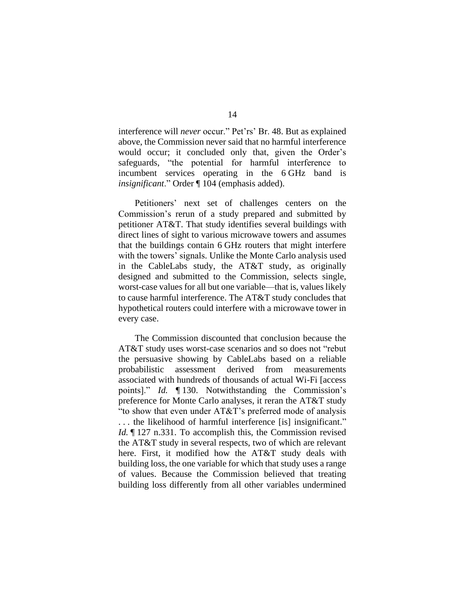interference will *never* occur." Pet'rs' Br. 48. But as explained above, the Commission never said that no harmful interference would occur; it concluded only that, given the Order's safeguards, "the potential for harmful interference to incumbent services operating in the 6 GHz band is *insignificant*." Order ¶ 104 (emphasis added).

Petitioners' next set of challenges centers on the Commission's rerun of a study prepared and submitted by petitioner AT&T. That study identifies several buildings with direct lines of sight to various microwave towers and assumes that the buildings contain 6 GHz routers that might interfere with the towers' signals. Unlike the Monte Carlo analysis used in the CableLabs study, the AT&T study, as originally designed and submitted to the Commission, selects single, worst-case values for all but one variable—that is, values likely to cause harmful interference. The AT&T study concludes that hypothetical routers could interfere with a microwave tower in every case.

The Commission discounted that conclusion because the AT&T study uses worst-case scenarios and so does not "rebut the persuasive showing by CableLabs based on a reliable probabilistic assessment derived from measurements associated with hundreds of thousands of actual Wi-Fi [access points]." *Id.* ¶ 130. Notwithstanding the Commission's preference for Monte Carlo analyses, it reran the AT&T study "to show that even under AT&T's preferred mode of analysis . . . the likelihood of harmful interference [is] insignificant." *Id.* 127 n.331. To accomplish this, the Commission revised the AT&T study in several respects, two of which are relevant here. First, it modified how the AT&T study deals with building loss, the one variable for which that study uses a range of values. Because the Commission believed that treating building loss differently from all other variables undermined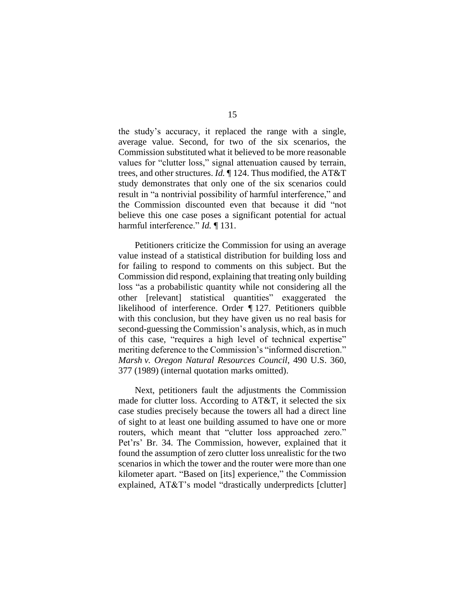the study's accuracy, it replaced the range with a single, average value. Second, for two of the six scenarios, the Commission substituted what it believed to be more reasonable values for "clutter loss," signal attenuation caused by terrain, trees, and other structures. *Id.* ¶ 124. Thus modified, the AT&T study demonstrates that only one of the six scenarios could result in "a nontrivial possibility of harmful interference," and the Commission discounted even that because it did "not believe this one case poses a significant potential for actual harmful interference." *Id.* ¶ 131.

Petitioners criticize the Commission for using an average value instead of a statistical distribution for building loss and for failing to respond to comments on this subject. But the Commission did respond, explaining that treating only building loss "as a probabilistic quantity while not considering all the other [relevant] statistical quantities" exaggerated the likelihood of interference. Order *¶* 127. Petitioners quibble with this conclusion, but they have given us no real basis for second-guessing the Commission's analysis, which, as in much of this case, "requires a high level of technical expertise" meriting deference to the Commission's "informed discretion." *Marsh v. Oregon Natural Resources Council*, 490 U.S. 360, 377 (1989) (internal quotation marks omitted).

Next, petitioners fault the adjustments the Commission made for clutter loss. According to AT&T, it selected the six case studies precisely because the towers all had a direct line of sight to at least one building assumed to have one or more routers, which meant that "clutter loss approached zero." Pet'rs' Br. 34. The Commission, however, explained that it found the assumption of zero clutter loss unrealistic for the two scenarios in which the tower and the router were more than one kilometer apart. "Based on [its] experience," the Commission explained, AT&T's model "drastically underpredicts [clutter]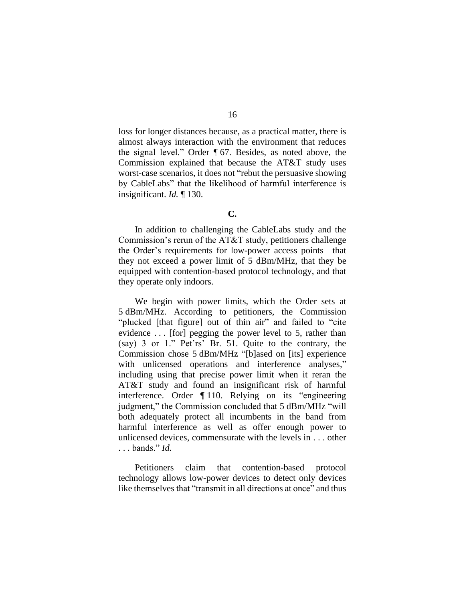loss for longer distances because, as a practical matter, there is almost always interaction with the environment that reduces the signal level." Order ¶ 67. Besides, as noted above, the Commission explained that because the AT&T study uses worst-case scenarios, it does not "rebut the persuasive showing by CableLabs" that the likelihood of harmful interference is insignificant. *Id.* ¶ 130.

# **C.**

In addition to challenging the CableLabs study and the Commission's rerun of the AT&T study, petitioners challenge the Order's requirements for low-power access points—that they not exceed a power limit of 5 dBm/MHz, that they be equipped with contention-based protocol technology, and that they operate only indoors.

We begin with power limits, which the Order sets at 5 dBm/MHz. According to petitioners, the Commission "plucked [that figure] out of thin air" and failed to "cite evidence ... [for] pegging the power level to 5, rather than (say) 3 or 1." Pet'rs' Br. 51. Quite to the contrary, the Commission chose 5 dBm/MHz "[b]ased on [its] experience with unlicensed operations and interference analyses," including using that precise power limit when it reran the AT&T study and found an insignificant risk of harmful interference. Order ¶ 110. Relying on its "engineering judgment," the Commission concluded that 5 dBm/MHz "will both adequately protect all incumbents in the band from harmful interference as well as offer enough power to unlicensed devices, commensurate with the levels in . . . other . . . bands." *Id.*

Petitioners claim that contention-based protocol technology allows low-power devices to detect only devices like themselves that "transmit in all directions at once" and thus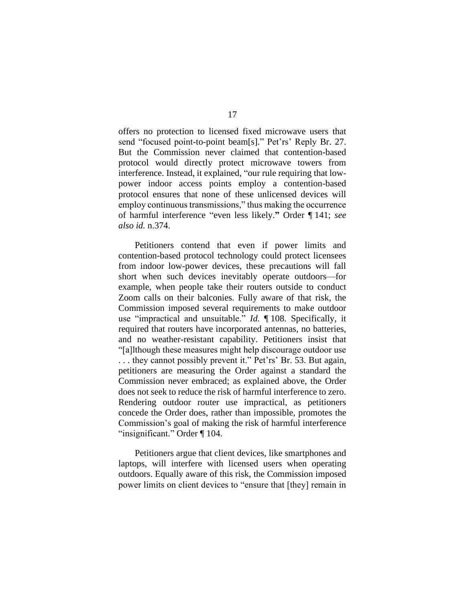offers no protection to licensed fixed microwave users that send "focused point-to-point beam[s]." Pet'rs' Reply Br. 27. But the Commission never claimed that contention-based protocol would directly protect microwave towers from interference. Instead, it explained, "our rule requiring that lowpower indoor access points employ a contention-based protocol ensures that none of these unlicensed devices will employ continuous transmissions," thus making the occurrence of harmful interference "even less likely.**"** Order ¶ 141; *see also id.* n.374.

Petitioners contend that even if power limits and contention-based protocol technology could protect licensees from indoor low-power devices, these precautions will fall short when such devices inevitably operate outdoors—for example, when people take their routers outside to conduct Zoom calls on their balconies. Fully aware of that risk, the Commission imposed several requirements to make outdoor use "impractical and unsuitable." *Id.* ¶ 108. Specifically, it required that routers have incorporated antennas, no batteries, and no weather-resistant capability. Petitioners insist that "[a]lthough these measures might help discourage outdoor use . . . they cannot possibly prevent it." Pet'rs' Br. 53. But again, petitioners are measuring the Order against a standard the Commission never embraced; as explained above, the Order does not seek to reduce the risk of harmful interference to zero. Rendering outdoor router use impractical, as petitioners concede the Order does, rather than impossible, promotes the Commission's goal of making the risk of harmful interference "insignificant." Order ¶ 104.

Petitioners argue that client devices, like smartphones and laptops, will interfere with licensed users when operating outdoors. Equally aware of this risk, the Commission imposed power limits on client devices to "ensure that [they] remain in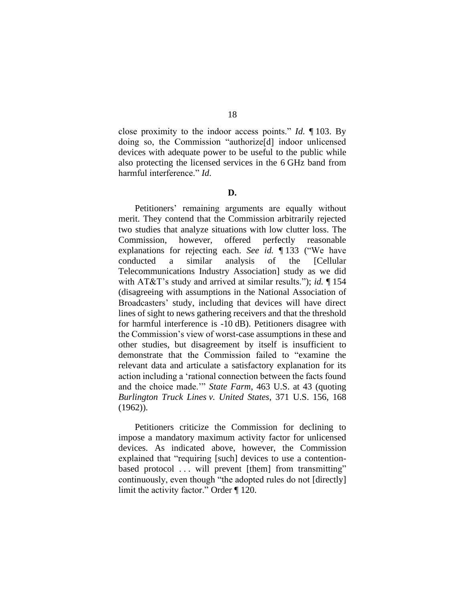close proximity to the indoor access points." *Id.* ¶ 103. By doing so, the Commission "authorize[d] indoor unlicensed devices with adequate power to be useful to the public while also protecting the licensed services in the 6 GHz band from harmful interference." *Id*.

### **D.**

Petitioners' remaining arguments are equally without merit. They contend that the Commission arbitrarily rejected two studies that analyze situations with low clutter loss. The Commission, however, offered perfectly reasonable explanations for rejecting each. *See id.* ¶ 133 ("We have conducted a similar analysis of the [Cellular Telecommunications Industry Association] study as we did with AT&T's study and arrived at similar results."); *id.* ¶ 154 (disagreeing with assumptions in the National Association of Broadcasters' study, including that devices will have direct lines of sight to news gathering receivers and that the threshold for harmful interference is -10 dB). Petitioners disagree with the Commission's view of worst-case assumptions in these and other studies, but disagreement by itself is insufficient to demonstrate that the Commission failed to "examine the relevant data and articulate a satisfactory explanation for its action including a 'rational connection between the facts found and the choice made.'" *State Farm*, 463 U.S. at 43 (quoting *Burlington Truck Lines v. United States*, 371 U.S. 156, 168 (1962)).

Petitioners criticize the Commission for declining to impose a mandatory maximum activity factor for unlicensed devices. As indicated above, however, the Commission explained that "requiring [such] devices to use a contentionbased protocol ... will prevent [them] from transmitting" continuously, even though "the adopted rules do not [directly] limit the activity factor." Order ¶ 120.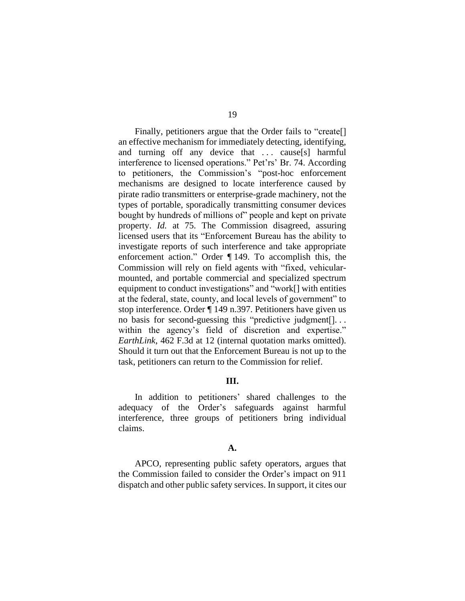Finally, petitioners argue that the Order fails to "create.] an effective mechanism for immediately detecting, identifying, and turning off any device that ... cause[s] harmful interference to licensed operations." Pet'rs' Br. 74. According to petitioners, the Commission's "post-hoc enforcement mechanisms are designed to locate interference caused by pirate radio transmitters or enterprise-grade machinery, not the types of portable, sporadically transmitting consumer devices bought by hundreds of millions of" people and kept on private property. *Id.* at 75. The Commission disagreed, assuring licensed users that its "Enforcement Bureau has the ability to investigate reports of such interference and take appropriate enforcement action." Order ¶ 149. To accomplish this, the Commission will rely on field agents with "fixed, vehicularmounted, and portable commercial and specialized spectrum equipment to conduct investigations" and "work[] with entities at the federal, state, county, and local levels of government" to stop interference. Order ¶ 149 n.397. Petitioners have given us no basis for second-guessing this "predictive judgment[]. . . within the agency's field of discretion and expertise." *EarthLink*, 462 F.3d at 12 (internal quotation marks omitted). Should it turn out that the Enforcement Bureau is not up to the task, petitioners can return to the Commission for relief.

## **III.**

In addition to petitioners' shared challenges to the adequacy of the Order's safeguards against harmful interference, three groups of petitioners bring individual claims.

## **A.**

APCO, representing public safety operators, argues that the Commission failed to consider the Order's impact on 911 dispatch and other public safety services. In support, it cites our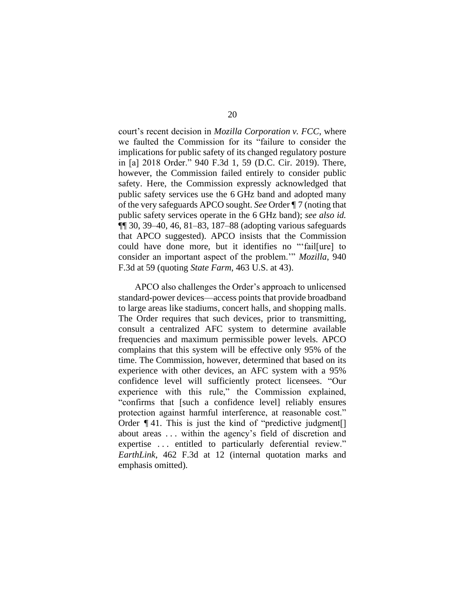court's recent decision in *Mozilla Corporation v. FCC*, where we faulted the Commission for its "failure to consider the implications for public safety of its changed regulatory posture in [a] 2018 Order." 940 F.3d 1, 59 (D.C. Cir. 2019). There, however, the Commission failed entirely to consider public safety. Here, the Commission expressly acknowledged that public safety services use the 6 GHz band and adopted many of the very safeguards APCO sought. *See* Order ¶ 7 (noting that public safety services operate in the 6 GHz band); *see also id.*  ¶¶ 30, 39–40, 46, 81–83, 187–88 (adopting various safeguards that APCO suggested). APCO insists that the Commission could have done more, but it identifies no "'fail[ure] to consider an important aspect of the problem.'" *Mozilla*, 940 F.3d at 59 (quoting *State Farm*, 463 U.S. at 43).

APCO also challenges the Order's approach to unlicensed standard-power devices—access points that provide broadband to large areas like stadiums, concert halls, and shopping malls. The Order requires that such devices, prior to transmitting, consult a centralized AFC system to determine available frequencies and maximum permissible power levels. APCO complains that this system will be effective only 95% of the time. The Commission, however, determined that based on its experience with other devices, an AFC system with a 95% confidence level will sufficiently protect licensees. "Our experience with this rule," the Commission explained, "confirms that [such a confidence level] reliably ensures protection against harmful interference, at reasonable cost." Order *¶* 41. This is just the kind of "predictive judgment[] about areas . . . within the agency's field of discretion and expertise ... entitled to particularly deferential review." *EarthLink*, 462 F.3d at 12 (internal quotation marks and emphasis omitted).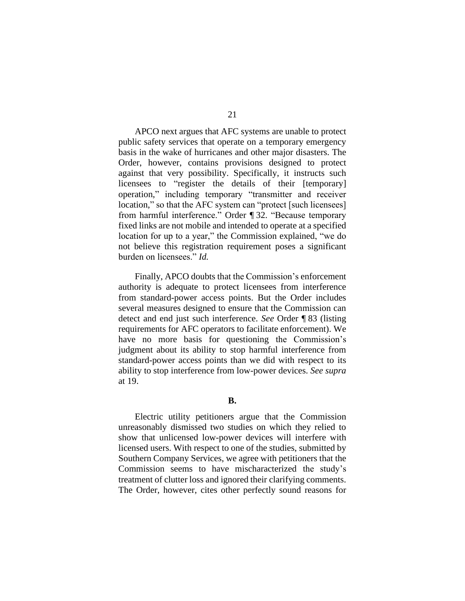APCO next argues that AFC systems are unable to protect public safety services that operate on a temporary emergency basis in the wake of hurricanes and other major disasters. The Order, however, contains provisions designed to protect against that very possibility. Specifically, it instructs such licensees to "register the details of their [temporary] operation," including temporary "transmitter and receiver location," so that the AFC system can "protect [such licensees] from harmful interference." Order ¶ 32. "Because temporary fixed links are not mobile and intended to operate at a specified location for up to a year," the Commission explained, "we do not believe this registration requirement poses a significant burden on licensees." *Id.*

Finally, APCO doubts that the Commission's enforcement authority is adequate to protect licensees from interference from standard-power access points. But the Order includes several measures designed to ensure that the Commission can detect and end just such interference. *See* Order ¶ 83 (listing requirements for AFC operators to facilitate enforcement). We have no more basis for questioning the Commission's judgment about its ability to stop harmful interference from standard-power access points than we did with respect to its ability to stop interference from low-power devices. *See supra*  at 19.

**B.**

Electric utility petitioners argue that the Commission unreasonably dismissed two studies on which they relied to show that unlicensed low-power devices will interfere with licensed users. With respect to one of the studies, submitted by Southern Company Services, we agree with petitioners that the Commission seems to have mischaracterized the study's treatment of clutter loss and ignored their clarifying comments. The Order, however, cites other perfectly sound reasons for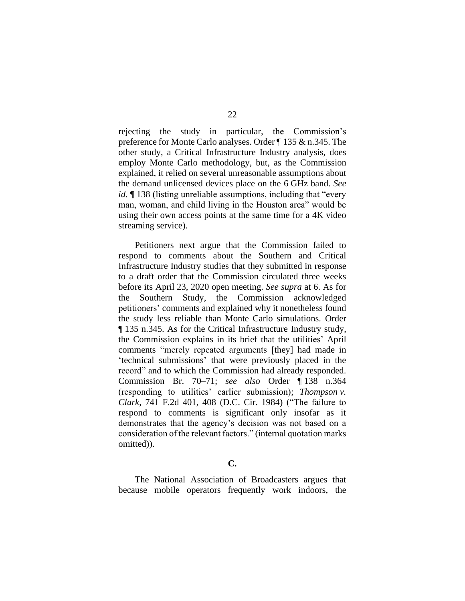rejecting the study—in particular, the Commission's preference for Monte Carlo analyses. Order ¶ 135 & n.345. The other study, a Critical Infrastructure Industry analysis, does employ Monte Carlo methodology, but, as the Commission explained, it relied on several unreasonable assumptions about the demand unlicensed devices place on the 6 GHz band. *See id.*  $\blacksquare$  138 (listing unreliable assumptions, including that "every" man, woman, and child living in the Houston area" would be using their own access points at the same time for a 4K video streaming service).

Petitioners next argue that the Commission failed to respond to comments about the Southern and Critical Infrastructure Industry studies that they submitted in response to a draft order that the Commission circulated three weeks before its April 23, 2020 open meeting. *See supra* at 6. As for the Southern Study, the Commission acknowledged petitioners' comments and explained why it nonetheless found the study less reliable than Monte Carlo simulations. Order ¶ 135 n.345. As for the Critical Infrastructure Industry study, the Commission explains in its brief that the utilities' April comments "merely repeated arguments [they] had made in 'technical submissions' that were previously placed in the record" and to which the Commission had already responded. Commission Br. 70–71; *see also* Order ¶ 138 n.364 (responding to utilities' earlier submission); *Thompson v. Clark*, 741 F.2d 401, 408 (D.C. Cir. 1984) ("The failure to respond to comments is significant only insofar as it demonstrates that the agency's decision was not based on a consideration of the relevant factors." (internal quotation marks omitted)).

# **C.**

The National Association of Broadcasters argues that because mobile operators frequently work indoors, the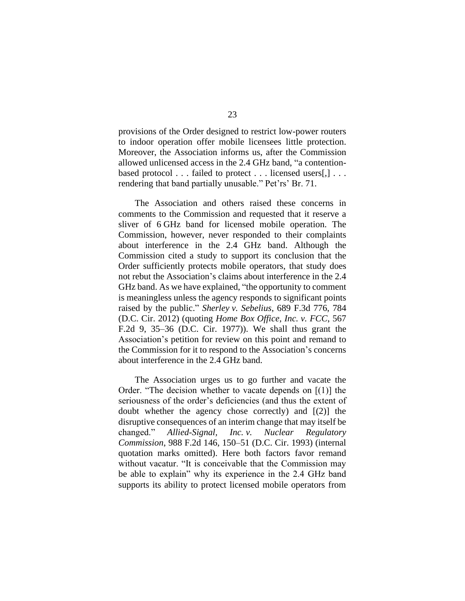provisions of the Order designed to restrict low-power routers to indoor operation offer mobile licensees little protection. Moreover, the Association informs us, after the Commission allowed unlicensed access in the 2.4 GHz band, "a contentionbased protocol . . . failed to protect . . . licensed users[,] . . . rendering that band partially unusable." Pet'rs' Br. 71.

The Association and others raised these concerns in comments to the Commission and requested that it reserve a sliver of 6 GHz band for licensed mobile operation. The Commission, however, never responded to their complaints about interference in the 2.4 GHz band. Although the Commission cited a study to support its conclusion that the Order sufficiently protects mobile operators, that study does not rebut the Association's claims about interference in the 2.4 GHz band. As we have explained, "the opportunity to comment is meaningless unless the agency responds to significant points raised by the public." *Sherley v. Sebelius*, 689 F.3d 776, 784 (D.C. Cir. 2012) (quoting *Home Box Office, Inc. v. FCC*, 567 F.2d 9, 35–36 (D.C. Cir. 1977)). We shall thus grant the Association's petition for review on this point and remand to the Commission for it to respond to the Association's concerns about interference in the 2.4 GHz band.

The Association urges us to go further and vacate the Order. "The decision whether to vacate depends on [(1)] the seriousness of the order's deficiencies (and thus the extent of doubt whether the agency chose correctly) and [(2)] the disruptive consequences of an interim change that may itself be changed." *Allied-Signal, Inc. v. Nuclear Regulatory Commission*, 988 F.2d 146, 150–51 (D.C. Cir. 1993) (internal quotation marks omitted). Here both factors favor remand without vacatur. "It is conceivable that the Commission may be able to explain" why its experience in the 2.4 GHz band supports its ability to protect licensed mobile operators from